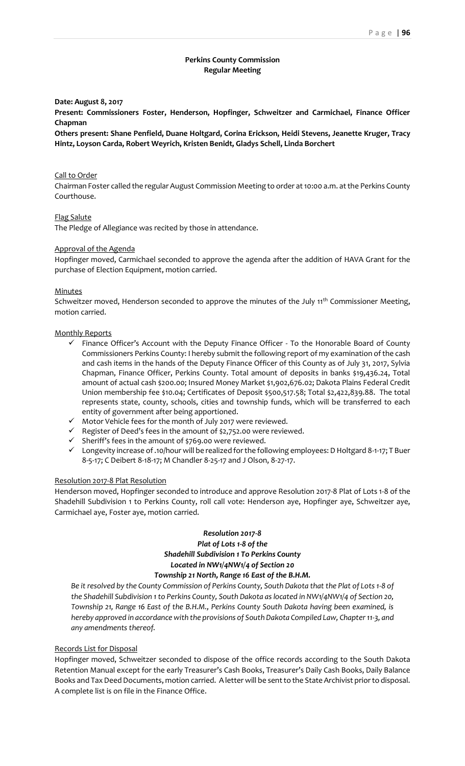# **Perkins County Commission Regular Meeting**

## **Date: August 8, 2017**

**Present: Commissioners Foster, Henderson, Hopfinger, Schweitzer and Carmichael, Finance Officer Chapman**

**Others present: Shane Penfield, Duane Holtgard, Corina Erickson, Heidi Stevens, Jeanette Kruger, Tracy Hintz, Loyson Carda, Robert Weyrich, Kristen Benidt, Gladys Schell, Linda Borchert**

#### Call to Order

Chairman Foster called the regular August Commission Meeting to order at 10:00 a.m. at the Perkins County Courthouse.

## Flag Salute

The Pledge of Allegiance was recited by those in attendance.

## Approval of the Agenda

Hopfinger moved, Carmichael seconded to approve the agenda after the addition of HAVA Grant for the purchase of Election Equipment, motion carried.

## **Minutes**

Schweitzer moved, Henderson seconded to approve the minutes of the July 11<sup>th</sup> Commissioner Meeting, motion carried.

## Monthly Reports

- ✓ Finance Officer's Account with the Deputy Finance Officer To the Honorable Board of County Commissioners Perkins County: I hereby submit the following report of my examination of the cash and cash items in the hands of the Deputy Finance Officer of this County as of July 31, 2017, Sylvia Chapman, Finance Officer, Perkins County. Total amount of deposits in banks \$19,436.24, Total amount of actual cash \$200.00; Insured Money Market \$1,902,676.02; Dakota Plains Federal Credit Union membership fee \$10.04; Certificates of Deposit \$500,517.58; Total \$2,422,839.88. The total represents state, county, schools, cities and township funds, which will be transferred to each entity of government after being apportioned.
- ✓ Motor Vehicle fees for the month of July 2017 were reviewed.
- ✓ Register of Deed's fees in the amount of \$2,752.00 were reviewed.
- $\checkmark$  Sheriff's fees in the amount of \$769.00 were reviewed.
- ✓ Longevity increase of .10/hour will be realized for the following employees: D Holtgard 8-1-17; T Buer 8-5-17; C Deibert 8-18-17; M Chandler 8-25-17 and J Olson, 8-27-17.

#### Resolution 2017-8 Plat Resolution

Henderson moved, Hopfinger seconded to introduce and approve Resolution 2017-8 Plat of Lots 1-8 of the Shadehill Subdivision 1 to Perkins County, roll call vote: Henderson aye, Hopfinger aye, Schweitzer aye, Carmichael aye, Foster aye, motion carried.

# *Resolution 2017-8 Plat of Lots 1-8 of the Shadehill Subdivision 1 To Perkins County Located in NW1/4NW1/4 of Section 20 Township 21 North, Range 16 East of the B.H.M.*

*Be it resolved by the County Commission of Perkins County, South Dakota that the Plat of Lots 1-8 of the Shadehill Subdivision 1 to Perkins County, South Dakota as located in NW1/4NW1/4 of Section 20, Township 21, Range 16 East of the B.H.M., Perkins County South Dakota having been examined, is hereby approved in accordance with the provisions of South Dakota Compiled Law, Chapter 11-3, and any amendments thereof.*

#### Records List for Disposal

Hopfinger moved, Schweitzer seconded to dispose of the office records according to the South Dakota Retention Manual except for the early Treasurer's Cash Books, Treasurer's Daily Cash Books, Daily Balance Books and Tax Deed Documents, motion carried. A letter will be sent to the State Archivist prior to disposal. A complete list is on file in the Finance Office.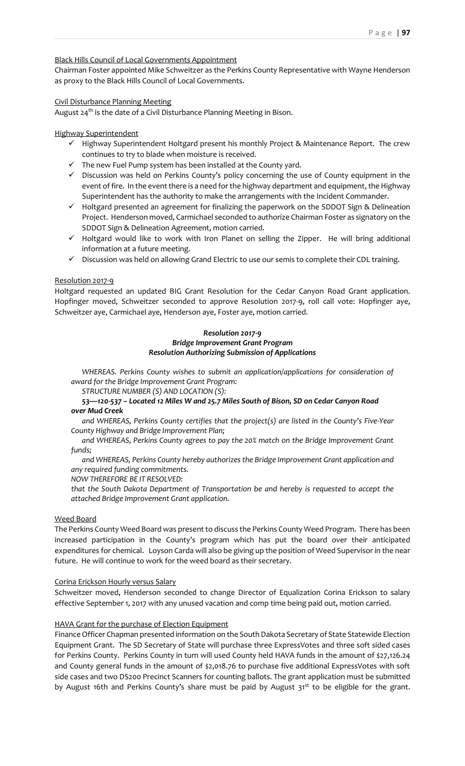# Black Hills Council of Local Governments Appointment

Chairman Foster appointed Mike Schweitzer as the Perkins County Representative with Wayne Henderson as proxy to the Black Hills Council of Local Governments.

#### Civil Disturbance Planning Meeting

August 24<sup>th</sup> is the date of a Civil Disturbance Planning Meeting in Bison.

# Highway Superintendent

- ✓ Highway Superintendent Holtgard present his monthly Project & Maintenance Report. The crew continues to try to blade when moisture is received.
- $\checkmark$  The new Fuel Pump system has been installed at the County yard.
- ✓ Discussion was held on Perkins County's policy concerning the use of County equipment in the event of fire. In the event there is a need for the highway department and equipment, the Highway Superintendent has the authority to make the arrangements with the Incident Commander.
- ✓ Holtgard presented an agreement for finalizing the paperwork on the SDDOT Sign & Delineation Project. Henderson moved, Carmichael seconded to authorize Chairman Foster as signatory on the SDDOT Sign & Delineation Agreement, motion carried.
- ✓ Holtgard would like to work with Iron Planet on selling the Zipper. He will bring additional information at a future meeting.
- $\checkmark$  Discussion was held on allowing Grand Electric to use our semis to complete their CDL training.

## Resolution 2017-9

Holtgard requested an updated BIG Grant Resolution for the Cedar Canyon Road Grant application. Hopfinger moved, Schweitzer seconded to approve Resolution 2017-9, roll call vote: Hopfinger aye, Schweitzer aye, Carmichael aye, Henderson aye, Foster aye, motion carried.

#### *Resolution 2017-9 Bridge Improvement Grant Program Resolution Authorizing Submission of Applications*

*WHEREAS. Perkins County wishes to submit an application/applications for consideration of award for the Bridge Improvement Grant Program:*

#### *STRUCTURE NUMBER (S) AND LOCATION (S):*

*53—120-537 – Located 12 Miles W and 25.7 Miles South of Bison, SD on Cedar Canyon Road over Mud Creek*

*and WHEREAS, Perkins County certifies that the project(s) are listed in the County's Five-Year County Highway and Bridge Improvement Plan;*

*and WHEREAS, Perkins County agrees to pay the 20% match on the Bridge Improvement Grant funds;*

*and WHEREAS, Perkins County hereby authorizes the Bridge Improvement Grant application and any required funding commitments.*

*NOW THEREFORE BE IT RESOLVED:* 

*that the South Dakota Department of Transportation be and hereby is requested to accept the attached Bridge Improvement Grant application.*

# Weed Board

The Perkins County Weed Board was present to discuss the Perkins County Weed Program. There has been increased participation in the County's program which has put the board over their anticipated expenditures for chemical. Loyson Carda will also be giving up the position of Weed Supervisor in the near future. He will continue to work for the weed board as their secretary.

#### Corina Erickson Hourly versus Salary

Schweitzer moved, Henderson seconded to change Director of Equalization Corina Erickson to salary effective September 1, 2017 with any unused vacation and comp time being paid out, motion carried.

# HAVA Grant for the purchase of Election Equipment

Finance Officer Chapman presented information on the South Dakota Secretary of State Statewide Election Equipment Grant. The SD Secretary of State will purchase three ExpressVotes and three soft sided cases for Perkins County. Perkins County in turn will used County held HAVA funds in the amount of \$27,126.24 and County general funds in the amount of \$2,018.76 to purchase five additional ExpressVotes with soft side cases and two DS200 Precinct Scanners for counting ballots. The grant application must be submitted by August 16th and Perkins County's share must be paid by August 31<sup>st</sup> to be eligible for the grant.